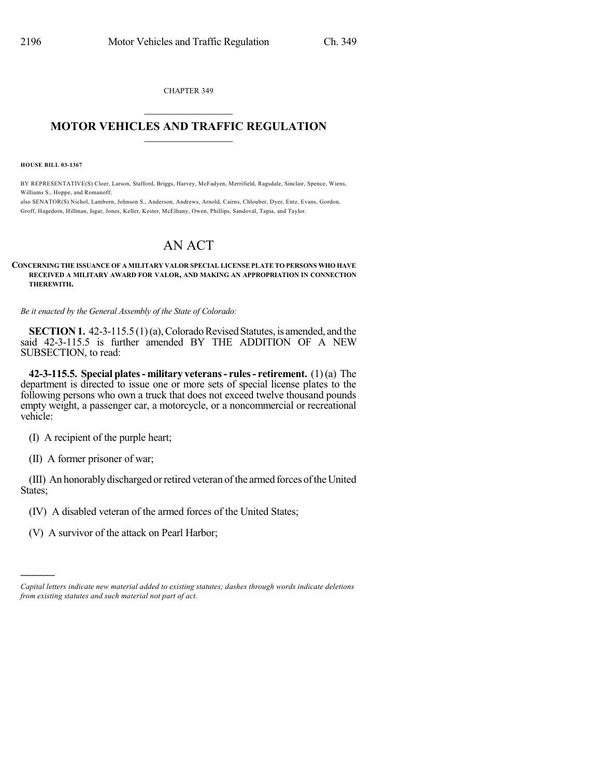CHAPTER 349

## $\overline{\phantom{a}}$  . The set of the set of the set of the set of the set of the set of the set of the set of the set of the set of the set of the set of the set of the set of the set of the set of the set of the set of the set o **MOTOR VEHICLES AND TRAFFIC REGULATION**  $\frac{1}{2}$  ,  $\frac{1}{2}$  ,  $\frac{1}{2}$  ,  $\frac{1}{2}$  ,  $\frac{1}{2}$  ,  $\frac{1}{2}$  ,  $\frac{1}{2}$

**HOUSE BILL 03-1367**

BY REPRESENTATIVE(S) Cloer, Larson, Stafford, Briggs, Harvey, McFadyen, Merrifield, Ragsdale, Sinclair, Spence, Wiens, Williams S., Hoppe, and Romanoff;

also SENATOR(S) Nichol, Lamborn, Johnson S., Anderson, Andrews, Arnold, Cairns, Chlouber, Dyer, Entz, Evans, Gordon, Groff, Hagedorn, Hillman, Isgar, Jones, Keller, Kester, McElhany, Owen, Phillips, Sandoval, Tapia, and Taylor.

## AN ACT

## **CONCERNING THE ISSUANCE OF A MILITARY VALOR SPECIAL LICENSE PLATE TO PERSONS WHO HAVE RECEIVED A MILITARY AWARD FOR VALOR, AND MAKING AN APPROPRIATION IN CONNECTION THEREWITH.**

*Be it enacted by the General Assembly of the State of Colorado:*

**SECTION 1.** 42-3-115.5 (1)(a), Colorado Revised Statutes, is amended, and the said 42-3-115.5 is further amended BY THE ADDITION OF A NEW SUBSECTION, to read:

**42-3-115.5. Special plates- military veterans- rules- retirement.** (1)(a) The department is directed to issue one or more sets of special license plates to the following persons who own a truck that does not exceed twelve thousand pounds empty weight, a passenger car, a motorcycle, or a noncommercial or recreational vehicle:

(I) A recipient of the purple heart;

(II) A former prisoner of war;

)))))

(III) An honorably discharged or retired veteran of the armed forces of the United States;

- (IV) A disabled veteran of the armed forces of the United States;
- (V) A survivor of the attack on Pearl Harbor;

*Capital letters indicate new material added to existing statutes; dashes through words indicate deletions from existing statutes and such material not part of act.*